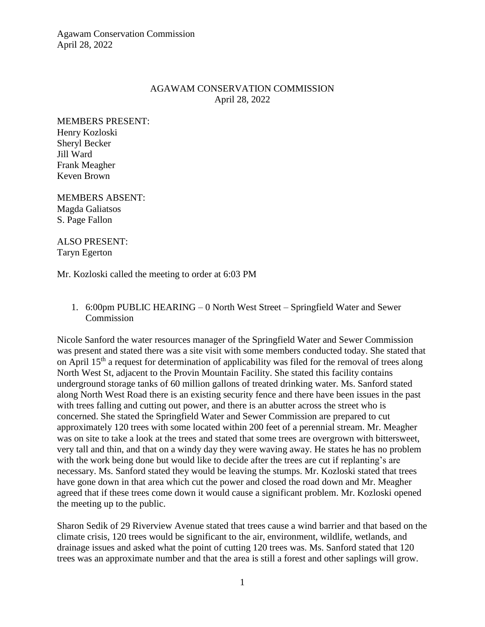Agawam Conservation Commission April 28, 2022

# AGAWAM CONSERVATION COMMISSION April 28, 2022

MEMBERS PRESENT: Henry Kozloski Sheryl Becker Jill Ward Frank Meagher Keven Brown

MEMBERS ABSENT: Magda Galiatsos S. Page Fallon

ALSO PRESENT: Taryn Egerton

Mr. Kozloski called the meeting to order at 6:03 PM

1. 6:00pm PUBLIC HEARING – 0 North West Street – Springfield Water and Sewer **Commission** 

Nicole Sanford the water resources manager of the Springfield Water and Sewer Commission was present and stated there was a site visit with some members conducted today. She stated that on April 15<sup>th</sup> a request for determination of applicability was filed for the removal of trees along North West St, adjacent to the Provin Mountain Facility. She stated this facility contains underground storage tanks of 60 million gallons of treated drinking water. Ms. Sanford stated along North West Road there is an existing security fence and there have been issues in the past with trees falling and cutting out power, and there is an abutter across the street who is concerned. She stated the Springfield Water and Sewer Commission are prepared to cut approximately 120 trees with some located within 200 feet of a perennial stream. Mr. Meagher was on site to take a look at the trees and stated that some trees are overgrown with bittersweet, very tall and thin, and that on a windy day they were waving away. He states he has no problem with the work being done but would like to decide after the trees are cut if replanting's are necessary. Ms. Sanford stated they would be leaving the stumps. Mr. Kozloski stated that trees have gone down in that area which cut the power and closed the road down and Mr. Meagher agreed that if these trees come down it would cause a significant problem. Mr. Kozloski opened the meeting up to the public.

Sharon Sedik of 29 Riverview Avenue stated that trees cause a wind barrier and that based on the climate crisis, 120 trees would be significant to the air, environment, wildlife, wetlands, and drainage issues and asked what the point of cutting 120 trees was. Ms. Sanford stated that 120 trees was an approximate number and that the area is still a forest and other saplings will grow.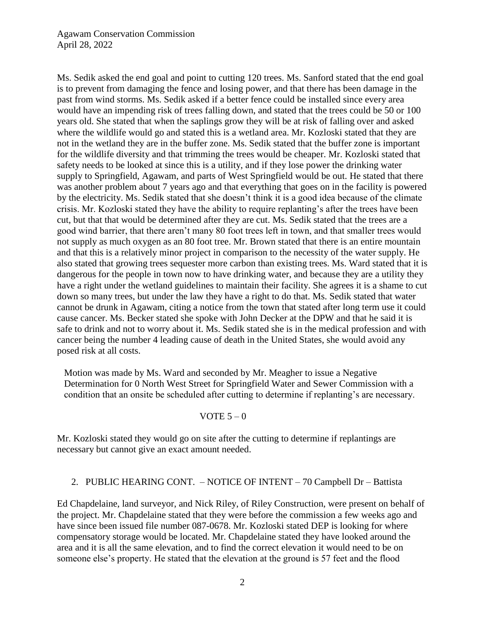Ms. Sedik asked the end goal and point to cutting 120 trees. Ms. Sanford stated that the end goal is to prevent from damaging the fence and losing power, and that there has been damage in the past from wind storms. Ms. Sedik asked if a better fence could be installed since every area would have an impending risk of trees falling down, and stated that the trees could be 50 or 100 years old. She stated that when the saplings grow they will be at risk of falling over and asked where the wildlife would go and stated this is a wetland area. Mr. Kozloski stated that they are not in the wetland they are in the buffer zone. Ms. Sedik stated that the buffer zone is important for the wildlife diversity and that trimming the trees would be cheaper. Mr. Kozloski stated that safety needs to be looked at since this is a utility, and if they lose power the drinking water supply to Springfield, Agawam, and parts of West Springfield would be out. He stated that there was another problem about 7 years ago and that everything that goes on in the facility is powered by the electricity. Ms. Sedik stated that she doesn't think it is a good idea because of the climate crisis. Mr. Kozloski stated they have the ability to require replanting's after the trees have been cut, but that that would be determined after they are cut. Ms. Sedik stated that the trees are a good wind barrier, that there aren't many 80 foot trees left in town, and that smaller trees would not supply as much oxygen as an 80 foot tree. Mr. Brown stated that there is an entire mountain and that this is a relatively minor project in comparison to the necessity of the water supply. He also stated that growing trees sequester more carbon than existing trees. Ms. Ward stated that it is dangerous for the people in town now to have drinking water, and because they are a utility they have a right under the wetland guidelines to maintain their facility. She agrees it is a shame to cut down so many trees, but under the law they have a right to do that. Ms. Sedik stated that water cannot be drunk in Agawam, citing a notice from the town that stated after long term use it could cause cancer. Ms. Becker stated she spoke with John Decker at the DPW and that he said it is safe to drink and not to worry about it. Ms. Sedik stated she is in the medical profession and with cancer being the number 4 leading cause of death in the United States, she would avoid any posed risk at all costs.

Motion was made by Ms. Ward and seconded by Mr. Meagher to issue a Negative Determination for 0 North West Street for Springfield Water and Sewer Commission with a condition that an onsite be scheduled after cutting to determine if replanting's are necessary.

#### VOTE  $5-0$

Mr. Kozloski stated they would go on site after the cutting to determine if replantings are necessary but cannot give an exact amount needed.

#### 2. PUBLIC HEARING CONT. – NOTICE OF INTENT – 70 Campbell Dr – Battista

Ed Chapdelaine, land surveyor, and Nick Riley, of Riley Construction, were present on behalf of the project. Mr. Chapdelaine stated that they were before the commission a few weeks ago and have since been issued file number 087-0678. Mr. Kozloski stated DEP is looking for where compensatory storage would be located. Mr. Chapdelaine stated they have looked around the area and it is all the same elevation, and to find the correct elevation it would need to be on someone else's property. He stated that the elevation at the ground is 57 feet and the flood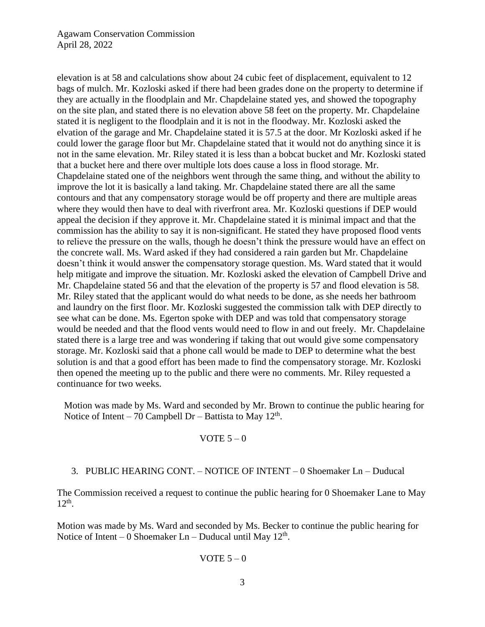## Agawam Conservation Commission April 28, 2022

elevation is at 58 and calculations show about 24 cubic feet of displacement, equivalent to 12 bags of mulch. Mr. Kozloski asked if there had been grades done on the property to determine if they are actually in the floodplain and Mr. Chapdelaine stated yes, and showed the topography on the site plan, and stated there is no elevation above 58 feet on the property. Mr. Chapdelaine stated it is negligent to the floodplain and it is not in the floodway. Mr. Kozloski asked the elvation of the garage and Mr. Chapdelaine stated it is 57.5 at the door. Mr Kozloski asked if he could lower the garage floor but Mr. Chapdelaine stated that it would not do anything since it is not in the same elevation. Mr. Riley stated it is less than a bobcat bucket and Mr. Kozloski stated that a bucket here and there over multiple lots does cause a loss in flood storage. Mr. Chapdelaine stated one of the neighbors went through the same thing, and without the ability to improve the lot it is basically a land taking. Mr. Chapdelaine stated there are all the same contours and that any compensatory storage would be off property and there are multiple areas where they would then have to deal with riverfront area. Mr. Kozloski questions if DEP would appeal the decision if they approve it. Mr. Chapdelaine stated it is minimal impact and that the commission has the ability to say it is non-significant. He stated they have proposed flood vents to relieve the pressure on the walls, though he doesn't think the pressure would have an effect on the concrete wall. Ms. Ward asked if they had considered a rain garden but Mr. Chapdelaine doesn't think it would answer the compensatory storage question. Ms. Ward stated that it would help mitigate and improve the situation. Mr. Kozloski asked the elevation of Campbell Drive and Mr. Chapdelaine stated 56 and that the elevation of the property is 57 and flood elevation is 58. Mr. Riley stated that the applicant would do what needs to be done, as she needs her bathroom and laundry on the first floor. Mr. Kozloski suggested the commission talk with DEP directly to see what can be done. Ms. Egerton spoke with DEP and was told that compensatory storage would be needed and that the flood vents would need to flow in and out freely. Mr. Chapdelaine stated there is a large tree and was wondering if taking that out would give some compensatory storage. Mr. Kozloski said that a phone call would be made to DEP to determine what the best solution is and that a good effort has been made to find the compensatory storage. Mr. Kozloski then opened the meeting up to the public and there were no comments. Mr. Riley requested a continuance for two weeks.

Motion was made by Ms. Ward and seconded by Mr. Brown to continue the public hearing for Notice of Intent – 70 Campbell Dr – Battista to May  $12<sup>th</sup>$ .

#### VOTE  $5 - 0$

## 3. PUBLIC HEARING CONT. – NOTICE OF INTENT – 0 Shoemaker Ln – Duducal

The Commission received a request to continue the public hearing for 0 Shoemaker Lane to May  $12<sup>th</sup>$ .

Motion was made by Ms. Ward and seconded by Ms. Becker to continue the public hearing for Notice of Intent – 0 Shoemaker  $Ln - Duducal$  until May  $12<sup>th</sup>$ .

#### VOTE  $5-0$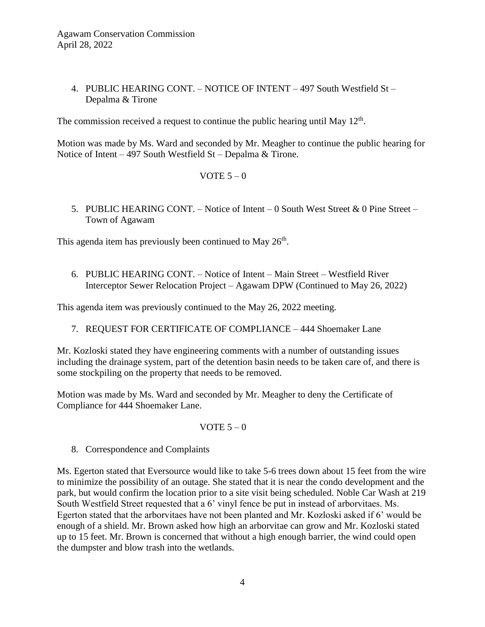# 4. PUBLIC HEARING CONT. – NOTICE OF INTENT – 497 South Westfield St – Depalma & Tirone

The commission received a request to continue the public hearing until May  $12<sup>th</sup>$ .

Motion was made by Ms. Ward and seconded by Mr. Meagher to continue the public hearing for Notice of Intent – 497 South Westfield St – Depalma & Tirone.

VOTE  $5-0$ 

5. PUBLIC HEARING CONT. – Notice of Intent – 0 South West Street & 0 Pine Street – Town of Agawam

This agenda item has previously been continued to May 26<sup>th</sup>.

6. PUBLIC HEARING CONT. – Notice of Intent – Main Street – Westfield River Interceptor Sewer Relocation Project – Agawam DPW (Continued to May 26, 2022)

This agenda item was previously continued to the May 26, 2022 meeting.

7. REQUEST FOR CERTIFICATE OF COMPLIANCE – 444 Shoemaker Lane

Mr. Kozloski stated they have engineering comments with a number of outstanding issues including the drainage system, part of the detention basin needs to be taken care of, and there is some stockpiling on the property that needs to be removed.

Motion was made by Ms. Ward and seconded by Mr. Meagher to deny the Certificate of Compliance for 444 Shoemaker Lane.

## VOTE  $5-0$

8. Correspondence and Complaints

Ms. Egerton stated that Eversource would like to take 5-6 trees down about 15 feet from the wire to minimize the possibility of an outage. She stated that it is near the condo development and the park, but would confirm the location prior to a site visit being scheduled. Noble Car Wash at 219 South Westfield Street requested that a 6' vinyl fence be put in instead of arborvitaes. Ms. Egerton stated that the arborvitaes have not been planted and Mr. Kozloski asked if 6' would be enough of a shield. Mr. Brown asked how high an arborvitae can grow and Mr. Kozloski stated up to 15 feet. Mr. Brown is concerned that without a high enough barrier, the wind could open the dumpster and blow trash into the wetlands.